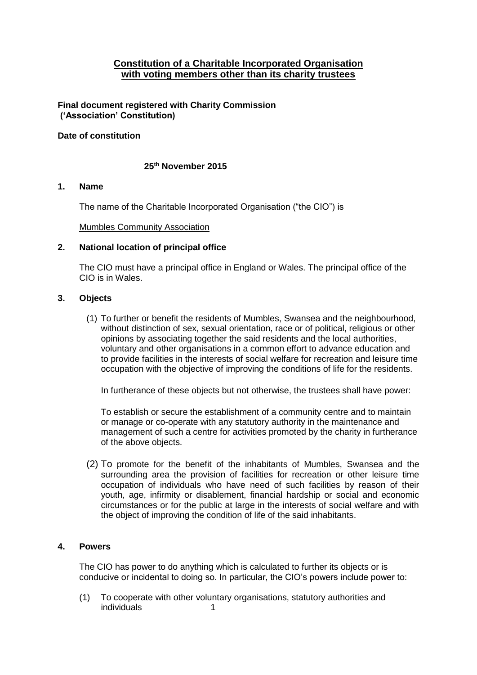# **Constitution of a Charitable Incorporated Organisation with voting members other than its charity trustees**

**Final document registered with Charity Commission ('Association' Constitution)**

### **Date of constitution**

### **25th November 2015**

#### **1. Name**

The name of the Charitable Incorporated Organisation ("the CIO") is

#### Mumbles Community Association

### **2. National location of principal office**

The CIO must have a principal office in England or Wales. The principal office of the CIO is in Wales.

### **3. Objects**

(1) To further or benefit the residents of Mumbles, Swansea and the neighbourhood, without distinction of sex, sexual orientation, race or of political, religious or other opinions by associating together the said residents and the local authorities, voluntary and other organisations in a common effort to advance education and to provide facilities in the interests of social welfare for recreation and leisure time occupation with the objective of improving the conditions of life for the residents.

In furtherance of these objects but not otherwise, the trustees shall have power:

To establish or secure the establishment of a community centre and to maintain or manage or co-operate with any statutory authority in the maintenance and management of such a centre for activities promoted by the charity in furtherance of the above objects.

(2) To promote for the benefit of the inhabitants of Mumbles, Swansea and the surrounding area the provision of facilities for recreation or other leisure time occupation of individuals who have need of such facilities by reason of their youth, age, infirmity or disablement, financial hardship or social and economic circumstances or for the public at large in the interests of social welfare and with the object of improving the condition of life of the said inhabitants.

### **4. Powers**

The CIO has power to do anything which is calculated to further its objects or is conducive or incidental to doing so. In particular, the CIO's powers include power to:

(1) To cooperate with other voluntary organisations, statutory authorities and individuals 1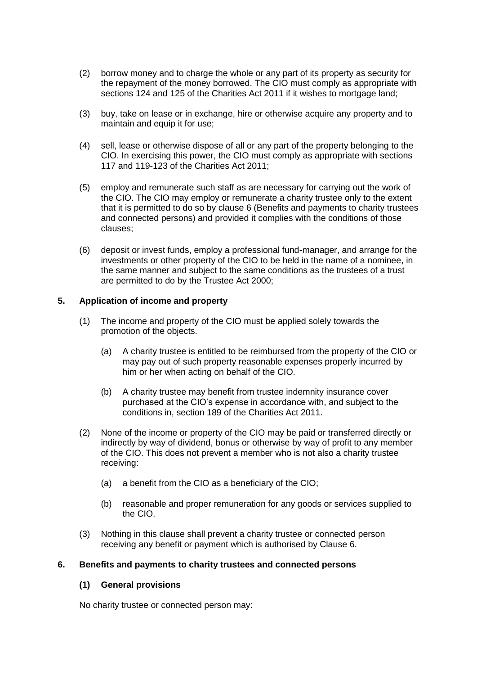- (2) borrow money and to charge the whole or any part of its property as security for the repayment of the money borrowed. The CIO must comply as appropriate with sections 124 and 125 of the Charities Act 2011 if it wishes to mortgage land:
- (3) buy, take on lease or in exchange, hire or otherwise acquire any property and to maintain and equip it for use;
- (4) sell, lease or otherwise dispose of all or any part of the property belonging to the CIO. In exercising this power, the CIO must comply as appropriate with sections 117 and 119-123 of the Charities Act 2011;
- (5) employ and remunerate such staff as are necessary for carrying out the work of the CIO. The CIO may employ or remunerate a charity trustee only to the extent that it is permitted to do so by clause 6 (Benefits and payments to charity trustees and connected persons) and provided it complies with the conditions of those clauses;
- (6) deposit or invest funds, employ a professional fund-manager, and arrange for the investments or other property of the CIO to be held in the name of a nominee, in the same manner and subject to the same conditions as the trustees of a trust are permitted to do by the Trustee Act 2000;

# **5. Application of income and property**

- (1) The income and property of the CIO must be applied solely towards the promotion of the objects.
	- (a) A charity trustee is entitled to be reimbursed from the property of the CIO or may pay out of such property reasonable expenses properly incurred by him or her when acting on behalf of the CIO.
	- (b) A charity trustee may benefit from trustee indemnity insurance cover purchased at the CIO's expense in accordance with, and subject to the conditions in, section 189 of the Charities Act 2011.
- (2) None of the income or property of the CIO may be paid or transferred directly or indirectly by way of dividend, bonus or otherwise by way of profit to any member of the CIO. This does not prevent a member who is not also a charity trustee receiving:
	- (a) a benefit from the CIO as a beneficiary of the CIO;
	- (b) reasonable and proper remuneration for any goods or services supplied to the CIO.
- (3) Nothing in this clause shall prevent a charity trustee or connected person receiving any benefit or payment which is authorised by Clause 6.

### **6. Benefits and payments to charity trustees and connected persons**

### **(1) General provisions**

No charity trustee or connected person may: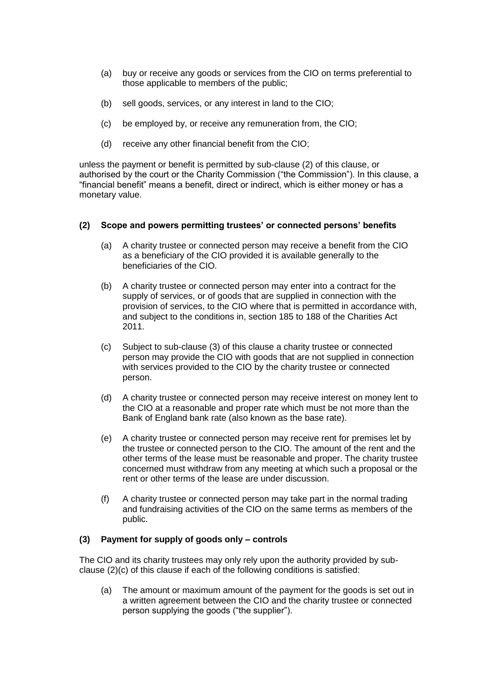- (a) buy or receive any goods or services from the CIO on terms preferential to those applicable to members of the public;
- (b) sell goods, services, or any interest in land to the CIO;
- (c) be employed by, or receive any remuneration from, the CIO;
- (d) receive any other financial benefit from the CIO;

unless the payment or benefit is permitted by sub-clause (2) of this clause, or authorised by the court or the Charity Commission ("the Commission"). In this clause, a "financial benefit" means a benefit, direct or indirect, which is either money or has a monetary value.

### **(2) Scope and powers permitting trustees' or connected persons' benefits**

- (a) A charity trustee or connected person may receive a benefit from the CIO as a beneficiary of the CIO provided it is available generally to the beneficiaries of the CIO.
- (b) A charity trustee or connected person may enter into a contract for the supply of services, or of goods that are supplied in connection with the provision of services, to the CIO where that is permitted in accordance with, and subject to the conditions in, section 185 to 188 of the Charities Act 2011.
- (c) Subject to sub-clause (3) of this clause a charity trustee or connected person may provide the CIO with goods that are not supplied in connection with services provided to the CIO by the charity trustee or connected person.
- (d) A charity trustee or connected person may receive interest on money lent to the CIO at a reasonable and proper rate which must be not more than the Bank of England bank rate (also known as the base rate).
- (e) A charity trustee or connected person may receive rent for premises let by the trustee or connected person to the CIO. The amount of the rent and the other terms of the lease must be reasonable and proper. The charity trustee concerned must withdraw from any meeting at which such a proposal or the rent or other terms of the lease are under discussion.
- (f) A charity trustee or connected person may take part in the normal trading and fundraising activities of the CIO on the same terms as members of the public.

### **(3) Payment for supply of goods only – controls**

The CIO and its charity trustees may only rely upon the authority provided by subclause (2)(c) of this clause if each of the following conditions is satisfied:

(a) The amount or maximum amount of the payment for the goods is set out in a written agreement between the CIO and the charity trustee or connected person supplying the goods ("the supplier").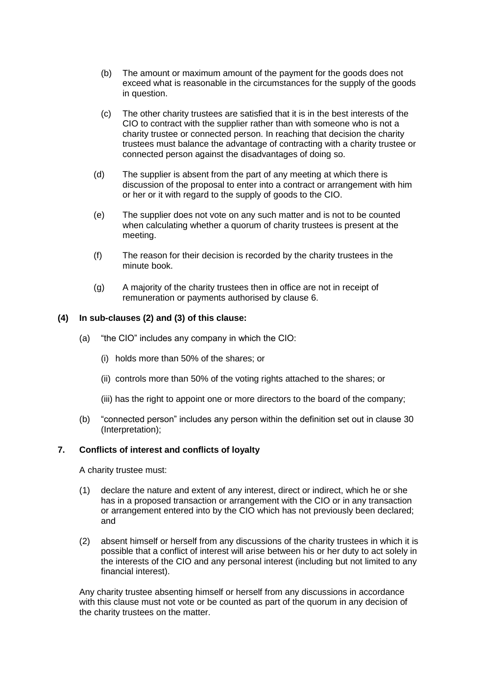- (b) The amount or maximum amount of the payment for the goods does not exceed what is reasonable in the circumstances for the supply of the goods in question.
- (c) The other charity trustees are satisfied that it is in the best interests of the CIO to contract with the supplier rather than with someone who is not a charity trustee or connected person. In reaching that decision the charity trustees must balance the advantage of contracting with a charity trustee or connected person against the disadvantages of doing so.
- (d) The supplier is absent from the part of any meeting at which there is discussion of the proposal to enter into a contract or arrangement with him or her or it with regard to the supply of goods to the CIO.
- (e) The supplier does not vote on any such matter and is not to be counted when calculating whether a quorum of charity trustees is present at the meeting.
- (f) The reason for their decision is recorded by the charity trustees in the minute book.
- (g) A majority of the charity trustees then in office are not in receipt of remuneration or payments authorised by clause 6.

### **(4) In sub-clauses (2) and (3) of this clause:**

- (a) "the CIO" includes any company in which the CIO:
	- (i) holds more than 50% of the shares; or
	- (ii) controls more than 50% of the voting rights attached to the shares; or
	- (iii) has the right to appoint one or more directors to the board of the company;
- (b) "connected person" includes any person within the definition set out in clause 30 (Interpretation);

#### **7. Conflicts of interest and conflicts of loyalty**

A charity trustee must:

- (1) declare the nature and extent of any interest, direct or indirect, which he or she has in a proposed transaction or arrangement with the CIO or in any transaction or arrangement entered into by the CIO which has not previously been declared; and
- (2) absent himself or herself from any discussions of the charity trustees in which it is possible that a conflict of interest will arise between his or her duty to act solely in the interests of the CIO and any personal interest (including but not limited to any financial interest).

Any charity trustee absenting himself or herself from any discussions in accordance with this clause must not vote or be counted as part of the quorum in any decision of the charity trustees on the matter.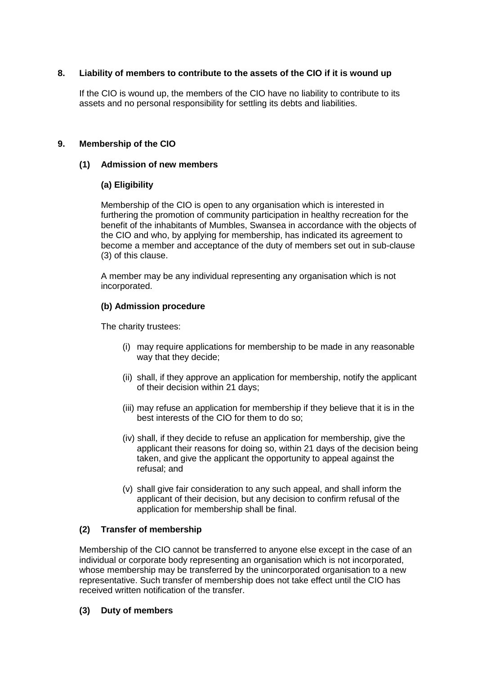# **8. Liability of members to contribute to the assets of the CIO if it is wound up**

If the CIO is wound up, the members of the CIO have no liability to contribute to its assets and no personal responsibility for settling its debts and liabilities.

### **9. Membership of the CIO**

### **(1) Admission of new members**

### **(a) Eligibility**

Membership of the CIO is open to any organisation which is interested in furthering the promotion of community participation in healthy recreation for the benefit of the inhabitants of Mumbles, Swansea in accordance with the objects of the CIO and who, by applying for membership, has indicated its agreement to become a member and acceptance of the duty of members set out in sub-clause (3) of this clause.

A member may be any individual representing any organisation which is not incorporated.

### **(b) Admission procedure**

The charity trustees:

- (i) may require applications for membership to be made in any reasonable way that they decide;
- (ii) shall, if they approve an application for membership, notify the applicant of their decision within 21 days;
- (iii) may refuse an application for membership if they believe that it is in the best interests of the CIO for them to do so;
- (iv) shall, if they decide to refuse an application for membership, give the applicant their reasons for doing so, within 21 days of the decision being taken, and give the applicant the opportunity to appeal against the refusal; and
- (v) shall give fair consideration to any such appeal, and shall inform the applicant of their decision, but any decision to confirm refusal of the application for membership shall be final.

### **(2) Transfer of membership**

Membership of the CIO cannot be transferred to anyone else except in the case of an individual or corporate body representing an organisation which is not incorporated, whose membership may be transferred by the unincorporated organisation to a new representative. Such transfer of membership does not take effect until the CIO has received written notification of the transfer.

#### **(3) Duty of members**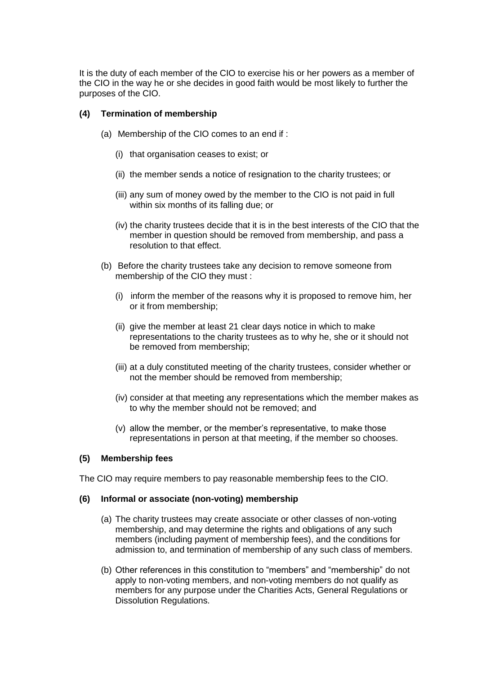It is the duty of each member of the CIO to exercise his or her powers as a member of the CIO in the way he or she decides in good faith would be most likely to further the purposes of the CIO.

### **(4) Termination of membership**

- (a) Membership of the CIO comes to an end if :
	- (i) that organisation ceases to exist; or
	- (ii) the member sends a notice of resignation to the charity trustees; or
	- (iii) any sum of money owed by the member to the CIO is not paid in full within six months of its falling due; or
	- (iv) the charity trustees decide that it is in the best interests of the CIO that the member in question should be removed from membership, and pass a resolution to that effect.
- (b) Before the charity trustees take any decision to remove someone from membership of the CIO they must :
	- (i) inform the member of the reasons why it is proposed to remove him, her or it from membership;
	- (ii) give the member at least 21 clear days notice in which to make representations to the charity trustees as to why he, she or it should not be removed from membership;
	- (iii) at a duly constituted meeting of the charity trustees, consider whether or not the member should be removed from membership;
	- (iv) consider at that meeting any representations which the member makes as to why the member should not be removed; and
	- (v) allow the member, or the member's representative, to make those representations in person at that meeting, if the member so chooses.

#### **(5) Membership fees**

The CIO may require members to pay reasonable membership fees to the CIO.

#### **(6) Informal or associate (non-voting) membership**

- (a) The charity trustees may create associate or other classes of non-voting membership, and may determine the rights and obligations of any such members (including payment of membership fees), and the conditions for admission to, and termination of membership of any such class of members.
- (b) Other references in this constitution to "members" and "membership" do not apply to non-voting members, and non-voting members do not qualify as members for any purpose under the Charities Acts, General Regulations or Dissolution Regulations.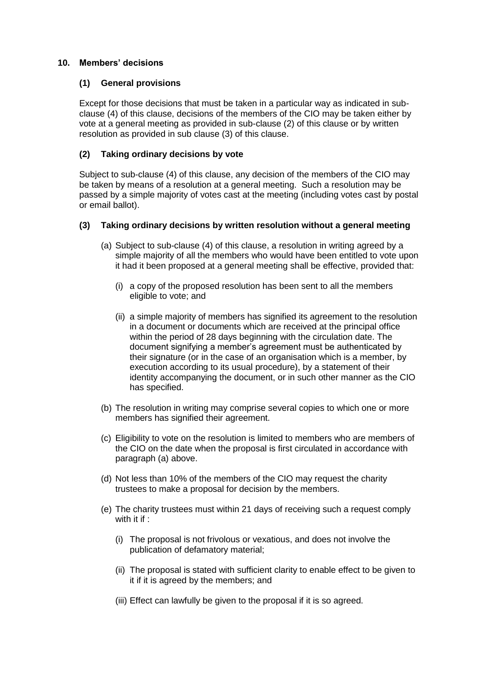### **10. Members' decisions**

### **(1) General provisions**

Except for those decisions that must be taken in a particular way as indicated in subclause (4) of this clause, decisions of the members of the CIO may be taken either by vote at a general meeting as provided in sub-clause (2) of this clause or by written resolution as provided in sub clause (3) of this clause.

### **(2) Taking ordinary decisions by vote**

Subject to sub-clause (4) of this clause, any decision of the members of the CIO may be taken by means of a resolution at a general meeting. Such a resolution may be passed by a simple majority of votes cast at the meeting (including votes cast by postal or email ballot).

### **(3) Taking ordinary decisions by written resolution without a general meeting**

- (a) Subject to sub-clause (4) of this clause, a resolution in writing agreed by a simple majority of all the members who would have been entitled to vote upon it had it been proposed at a general meeting shall be effective, provided that:
	- (i) a copy of the proposed resolution has been sent to all the members eligible to vote; and
	- (ii) a simple majority of members has signified its agreement to the resolution in a document or documents which are received at the principal office within the period of 28 days beginning with the circulation date. The document signifying a member's agreement must be authenticated by their signature (or in the case of an organisation which is a member, by execution according to its usual procedure), by a statement of their identity accompanying the document, or in such other manner as the CIO has specified.
- (b) The resolution in writing may comprise several copies to which one or more members has signified their agreement.
- (c) Eligibility to vote on the resolution is limited to members who are members of the CIO on the date when the proposal is first circulated in accordance with paragraph (a) above.
- (d) Not less than 10% of the members of the CIO may request the charity trustees to make a proposal for decision by the members.
- (e) The charity trustees must within 21 days of receiving such a request comply with it if :
	- (i) The proposal is not frivolous or vexatious, and does not involve the publication of defamatory material;
	- (ii) The proposal is stated with sufficient clarity to enable effect to be given to it if it is agreed by the members; and
	- (iii) Effect can lawfully be given to the proposal if it is so agreed.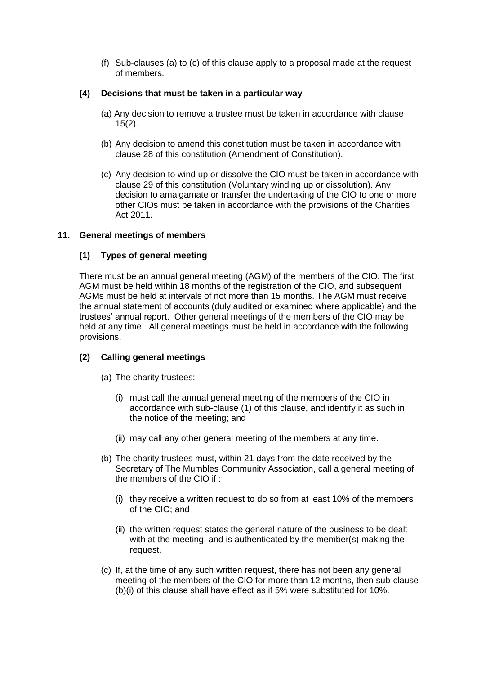(f) Sub-clauses (a) to (c) of this clause apply to a proposal made at the request of members.

## **(4) Decisions that must be taken in a particular way**

- (a) Any decision to remove a trustee must be taken in accordance with clause 15(2).
- (b) Any decision to amend this constitution must be taken in accordance with clause 28 of this constitution (Amendment of Constitution).
- (c) Any decision to wind up or dissolve the CIO must be taken in accordance with clause 29 of this constitution (Voluntary winding up or dissolution). Any decision to amalgamate or transfer the undertaking of the CIO to one or more other CIOs must be taken in accordance with the provisions of the Charities Act 2011.

# **11. General meetings of members**

# **(1) Types of general meeting**

There must be an annual general meeting (AGM) of the members of the CIO. The first AGM must be held within 18 months of the registration of the CIO, and subsequent AGMs must be held at intervals of not more than 15 months. The AGM must receive the annual statement of accounts (duly audited or examined where applicable) and the trustees' annual report. Other general meetings of the members of the CIO may be held at any time. All general meetings must be held in accordance with the following provisions.

# **(2) Calling general meetings**

- (a) The charity trustees:
	- (i) must call the annual general meeting of the members of the CIO in accordance with sub-clause (1) of this clause, and identify it as such in the notice of the meeting; and
	- (ii) may call any other general meeting of the members at any time.
- (b) The charity trustees must, within 21 days from the date received by the Secretary of The Mumbles Community Association, call a general meeting of the members of the CIO if :
	- (i) they receive a written request to do so from at least 10% of the members of the CIO; and
	- (ii) the written request states the general nature of the business to be dealt with at the meeting, and is authenticated by the member(s) making the request.
- (c) If, at the time of any such written request, there has not been any general meeting of the members of the CIO for more than 12 months, then sub-clause (b)(i) of this clause shall have effect as if 5% were substituted for 10%.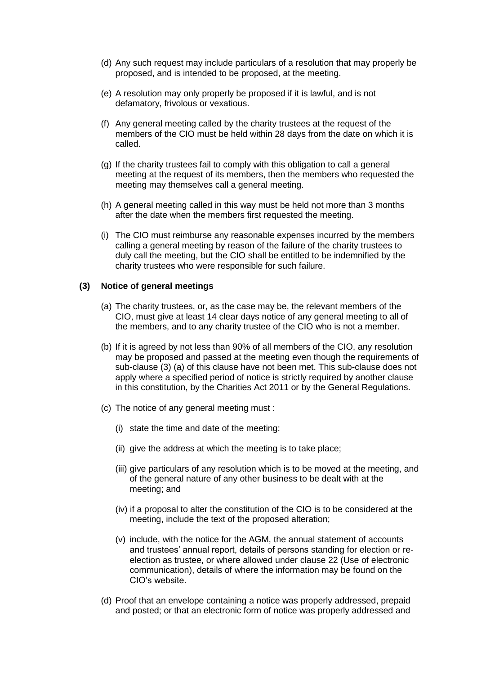- (d) Any such request may include particulars of a resolution that may properly be proposed, and is intended to be proposed, at the meeting.
- (e) A resolution may only properly be proposed if it is lawful, and is not defamatory, frivolous or vexatious.
- (f) Any general meeting called by the charity trustees at the request of the members of the CIO must be held within 28 days from the date on which it is called.
- (g) If the charity trustees fail to comply with this obligation to call a general meeting at the request of its members, then the members who requested the meeting may themselves call a general meeting.
- (h) A general meeting called in this way must be held not more than 3 months after the date when the members first requested the meeting.
- (i) The CIO must reimburse any reasonable expenses incurred by the members calling a general meeting by reason of the failure of the charity trustees to duly call the meeting, but the CIO shall be entitled to be indemnified by the charity trustees who were responsible for such failure.

#### **(3) Notice of general meetings**

- (a) The charity trustees, or, as the case may be, the relevant members of the CIO, must give at least 14 clear days notice of any general meeting to all of the members, and to any charity trustee of the CIO who is not a member.
- (b) If it is agreed by not less than 90% of all members of the CIO, any resolution may be proposed and passed at the meeting even though the requirements of sub-clause (3) (a) of this clause have not been met. This sub-clause does not apply where a specified period of notice is strictly required by another clause in this constitution, by the Charities Act 2011 or by the General Regulations.
- (c) The notice of any general meeting must :
	- (i) state the time and date of the meeting:
	- (ii) give the address at which the meeting is to take place;
	- (iii) give particulars of any resolution which is to be moved at the meeting, and of the general nature of any other business to be dealt with at the meeting; and
	- (iv) if a proposal to alter the constitution of the CIO is to be considered at the meeting, include the text of the proposed alteration;
	- (v) include, with the notice for the AGM, the annual statement of accounts and trustees' annual report, details of persons standing for election or reelection as trustee, or where allowed under clause 22 (Use of electronic communication), details of where the information may be found on the CIO's website.
- (d) Proof that an envelope containing a notice was properly addressed, prepaid and posted; or that an electronic form of notice was properly addressed and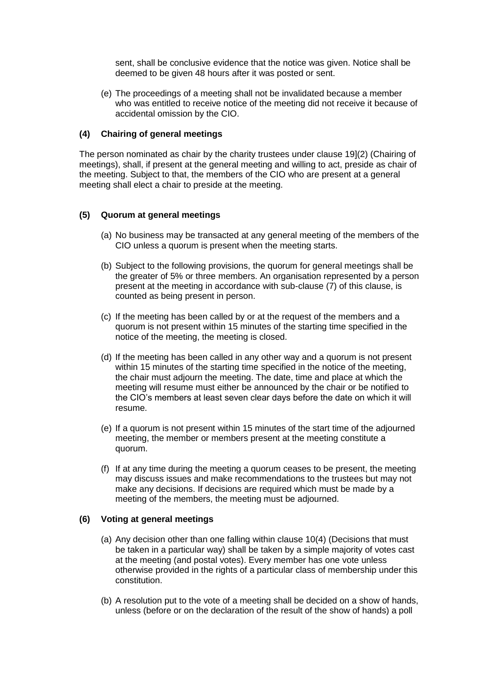sent, shall be conclusive evidence that the notice was given. Notice shall be deemed to be given 48 hours after it was posted or sent.

(e) The proceedings of a meeting shall not be invalidated because a member who was entitled to receive notice of the meeting did not receive it because of accidental omission by the CIO.

### **(4) Chairing of general meetings**

The person nominated as chair by the charity trustees under clause 19](2) (Chairing of meetings), shall, if present at the general meeting and willing to act, preside as chair of the meeting. Subject to that, the members of the CIO who are present at a general meeting shall elect a chair to preside at the meeting.

#### **(5) Quorum at general meetings**

- (a) No business may be transacted at any general meeting of the members of the CIO unless a quorum is present when the meeting starts.
- (b) Subject to the following provisions, the quorum for general meetings shall be the greater of 5% or three members. An organisation represented by a person present at the meeting in accordance with sub-clause (7) of this clause, is counted as being present in person.
- (c) If the meeting has been called by or at the request of the members and a quorum is not present within 15 minutes of the starting time specified in the notice of the meeting, the meeting is closed.
- (d) If the meeting has been called in any other way and a quorum is not present within 15 minutes of the starting time specified in the notice of the meeting, the chair must adjourn the meeting. The date, time and place at which the meeting will resume must either be announced by the chair or be notified to the CIO's members at least seven clear days before the date on which it will resume.
- (e) If a quorum is not present within 15 minutes of the start time of the adjourned meeting, the member or members present at the meeting constitute a quorum.
- (f) If at any time during the meeting a quorum ceases to be present, the meeting may discuss issues and make recommendations to the trustees but may not make any decisions. If decisions are required which must be made by a meeting of the members, the meeting must be adjourned.

#### **(6) Voting at general meetings**

- (a) Any decision other than one falling within clause 10(4) (Decisions that must be taken in a particular way) shall be taken by a simple majority of votes cast at the meeting (and postal votes). Every member has one vote unless otherwise provided in the rights of a particular class of membership under this constitution.
- (b) A resolution put to the vote of a meeting shall be decided on a show of hands, unless (before or on the declaration of the result of the show of hands) a poll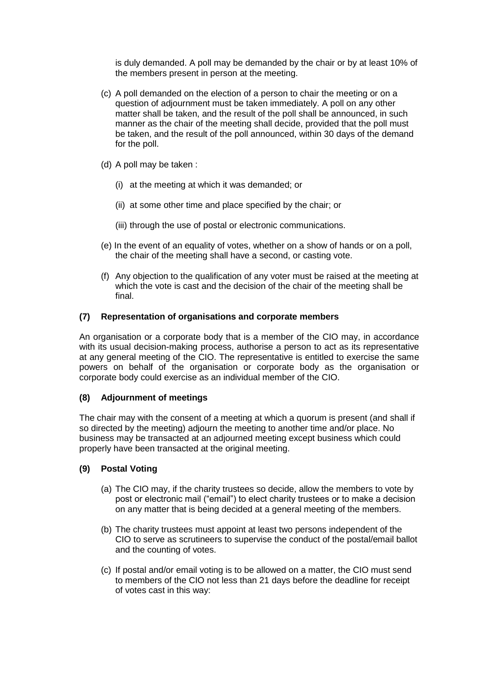is duly demanded. A poll may be demanded by the chair or by at least 10% of the members present in person at the meeting.

- (c) A poll demanded on the election of a person to chair the meeting or on a question of adjournment must be taken immediately. A poll on any other matter shall be taken, and the result of the poll shall be announced, in such manner as the chair of the meeting shall decide, provided that the poll must be taken, and the result of the poll announced, within 30 days of the demand for the poll.
- (d) A poll may be taken :
	- (i) at the meeting at which it was demanded; or
	- (ii) at some other time and place specified by the chair; or
	- (iii) through the use of postal or electronic communications.
- (e) In the event of an equality of votes, whether on a show of hands or on a poll, the chair of the meeting shall have a second, or casting vote.
- (f) Any objection to the qualification of any voter must be raised at the meeting at which the vote is cast and the decision of the chair of the meeting shall be final.

### **(7) Representation of organisations and corporate members**

An organisation or a corporate body that is a member of the CIO may, in accordance with its usual decision-making process, authorise a person to act as its representative at any general meeting of the CIO. The representative is entitled to exercise the same powers on behalf of the organisation or corporate body as the organisation or corporate body could exercise as an individual member of the CIO.

### **(8) Adjournment of meetings**

The chair may with the consent of a meeting at which a quorum is present (and shall if so directed by the meeting) adjourn the meeting to another time and/or place. No business may be transacted at an adjourned meeting except business which could properly have been transacted at the original meeting.

### **(9) Postal Voting**

- (a) The CIO may, if the charity trustees so decide, allow the members to vote by post or electronic mail ("email") to elect charity trustees or to make a decision on any matter that is being decided at a general meeting of the members.
- (b) The charity trustees must appoint at least two persons independent of the CIO to serve as scrutineers to supervise the conduct of the postal/email ballot and the counting of votes.
- (c) If postal and/or email voting is to be allowed on a matter, the CIO must send to members of the CIO not less than 21 days before the deadline for receipt of votes cast in this way: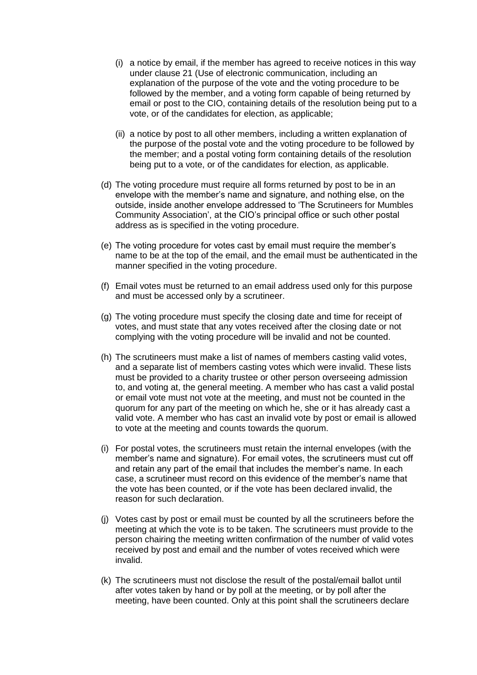- (i) a notice by email, if the member has agreed to receive notices in this way under clause 21 (Use of electronic communication, including an explanation of the purpose of the vote and the voting procedure to be followed by the member, and a voting form capable of being returned by email or post to the CIO, containing details of the resolution being put to a vote, or of the candidates for election, as applicable;
- (ii) a notice by post to all other members, including a written explanation of the purpose of the postal vote and the voting procedure to be followed by the member; and a postal voting form containing details of the resolution being put to a vote, or of the candidates for election, as applicable.
- (d) The voting procedure must require all forms returned by post to be in an envelope with the member's name and signature, and nothing else, on the outside, inside another envelope addressed to 'The Scrutineers for Mumbles Community Association', at the CIO's principal office or such other postal address as is specified in the voting procedure.
- (e) The voting procedure for votes cast by email must require the member's name to be at the top of the email, and the email must be authenticated in the manner specified in the voting procedure.
- (f) Email votes must be returned to an email address used only for this purpose and must be accessed only by a scrutineer.
- (g) The voting procedure must specify the closing date and time for receipt of votes, and must state that any votes received after the closing date or not complying with the voting procedure will be invalid and not be counted.
- (h) The scrutineers must make a list of names of members casting valid votes, and a separate list of members casting votes which were invalid. These lists must be provided to a charity trustee or other person overseeing admission to, and voting at, the general meeting. A member who has cast a valid postal or email vote must not vote at the meeting, and must not be counted in the quorum for any part of the meeting on which he, she or it has already cast a valid vote. A member who has cast an invalid vote by post or email is allowed to vote at the meeting and counts towards the quorum.
- (i) For postal votes, the scrutineers must retain the internal envelopes (with the member's name and signature). For email votes, the scrutineers must cut off and retain any part of the email that includes the member's name. In each case, a scrutineer must record on this evidence of the member's name that the vote has been counted, or if the vote has been declared invalid, the reason for such declaration.
- (j) Votes cast by post or email must be counted by all the scrutineers before the meeting at which the vote is to be taken. The scrutineers must provide to the person chairing the meeting written confirmation of the number of valid votes received by post and email and the number of votes received which were invalid.
- (k) The scrutineers must not disclose the result of the postal/email ballot until after votes taken by hand or by poll at the meeting, or by poll after the meeting, have been counted. Only at this point shall the scrutineers declare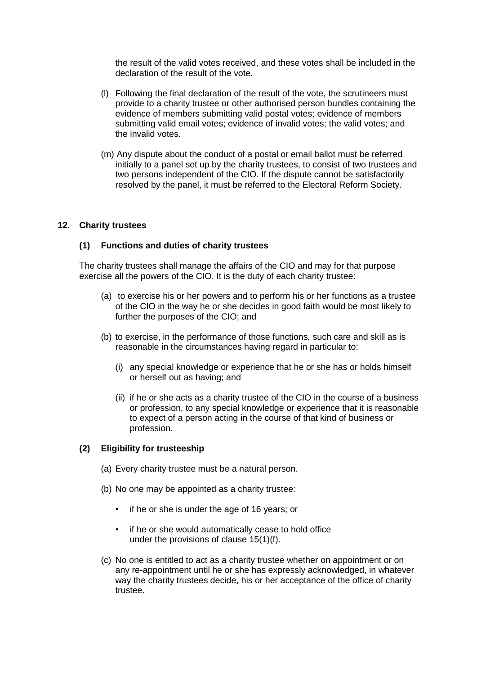the result of the valid votes received, and these votes shall be included in the declaration of the result of the vote.

- (l) Following the final declaration of the result of the vote, the scrutineers must provide to a charity trustee or other authorised person bundles containing the evidence of members submitting valid postal votes; evidence of members submitting valid email votes; evidence of invalid votes; the valid votes; and the invalid votes.
- (m) Any dispute about the conduct of a postal or email ballot must be referred initially to a panel set up by the charity trustees, to consist of two trustees and two persons independent of the CIO. If the dispute cannot be satisfactorily resolved by the panel, it must be referred to the Electoral Reform Society.

### **12. Charity trustees**

### **(1) Functions and duties of charity trustees**

The charity trustees shall manage the affairs of the CIO and may for that purpose exercise all the powers of the CIO. It is the duty of each charity trustee:

- (a) to exercise his or her powers and to perform his or her functions as a trustee of the CIO in the way he or she decides in good faith would be most likely to further the purposes of the CIO; and
- (b) to exercise, in the performance of those functions, such care and skill as is reasonable in the circumstances having regard in particular to:
	- (i) any special knowledge or experience that he or she has or holds himself or herself out as having; and
	- (ii) if he or she acts as a charity trustee of the CIO in the course of a business or profession, to any special knowledge or experience that it is reasonable to expect of a person acting in the course of that kind of business or profession.

### **(2) Eligibility for trusteeship**

- (a) Every charity trustee must be a natural person.
- (b) No one may be appointed as a charity trustee:
	- if he or she is under the age of 16 years; or
	- if he or she would automatically cease to hold office under the provisions of clause 15(1)(f).
- (c) No one is entitled to act as a charity trustee whether on appointment or on any re-appointment until he or she has expressly acknowledged, in whatever way the charity trustees decide, his or her acceptance of the office of charity trustee.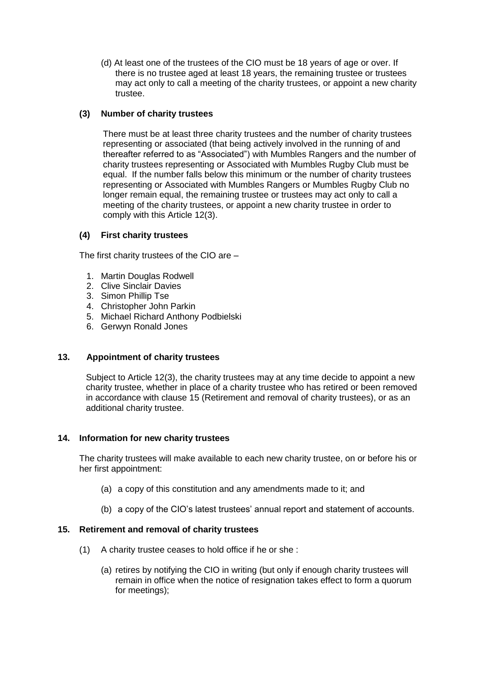(d) At least one of the trustees of the CIO must be 18 years of age or over. If there is no trustee aged at least 18 years, the remaining trustee or trustees may act only to call a meeting of the charity trustees, or appoint a new charity trustee.

## **(3) Number of charity trustees**

There must be at least three charity trustees and the number of charity trustees representing or associated (that being actively involved in the running of and thereafter referred to as "Associated") with Mumbles Rangers and the number of charity trustees representing or Associated with Mumbles Rugby Club must be equal. If the number falls below this minimum or the number of charity trustees representing or Associated with Mumbles Rangers or Mumbles Rugby Club no longer remain equal, the remaining trustee or trustees may act only to call a meeting of the charity trustees, or appoint a new charity trustee in order to comply with this Article 12(3).

# **(4) First charity trustees**

The first charity trustees of the CIO are –

- 1. Martin Douglas Rodwell
- 2. Clive Sinclair Davies
- 3. Simon Phillip Tse
- 4. Christopher John Parkin
- 5. Michael Richard Anthony Podbielski
- 6. Gerwyn Ronald Jones

# **13. Appointment of charity trustees**

Subject to Article 12(3), the charity trustees may at any time decide to appoint a new charity trustee, whether in place of a charity trustee who has retired or been removed in accordance with clause 15 (Retirement and removal of charity trustees), or as an additional charity trustee.

### **14. Information for new charity trustees**

The charity trustees will make available to each new charity trustee, on or before his or her first appointment:

- (a) a copy of this constitution and any amendments made to it; and
- (b) a copy of the CIO's latest trustees' annual report and statement of accounts.

### **15. Retirement and removal of charity trustees**

- (1) A charity trustee ceases to hold office if he or she :
	- (a) retires by notifying the CIO in writing (but only if enough charity trustees will remain in office when the notice of resignation takes effect to form a quorum for meetings);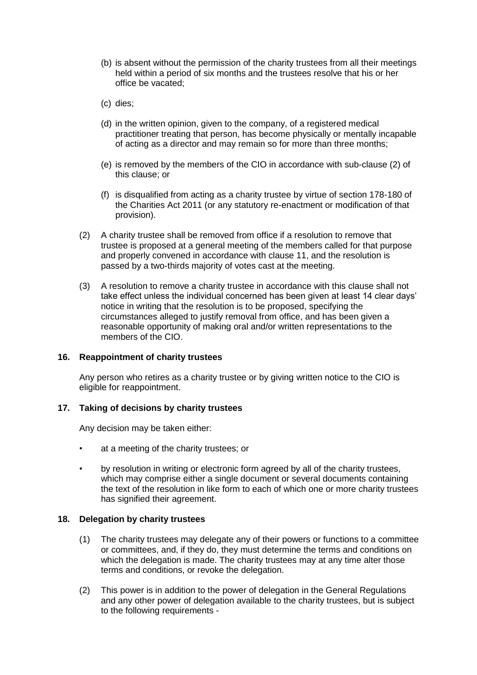- (b) is absent without the permission of the charity trustees from all their meetings held within a period of six months and the trustees resolve that his or her office be vacated;
- (c) dies;
- (d) in the written opinion, given to the company, of a registered medical practitioner treating that person, has become physically or mentally incapable of acting as a director and may remain so for more than three months;
- (e) is removed by the members of the CIO in accordance with sub-clause (2) of this clause; or
- (f) is disqualified from acting as a charity trustee by virtue of section 178-180 of the Charities Act 2011 (or any statutory re-enactment or modification of that provision).
- (2) A charity trustee shall be removed from office if a resolution to remove that trustee is proposed at a general meeting of the members called for that purpose and properly convened in accordance with clause 11, and the resolution is passed by a two-thirds majority of votes cast at the meeting.
- (3) A resolution to remove a charity trustee in accordance with this clause shall not take effect unless the individual concerned has been given at least 14 clear days' notice in writing that the resolution is to be proposed, specifying the circumstances alleged to justify removal from office, and has been given a reasonable opportunity of making oral and/or written representations to the members of the CIO.

### **16. Reappointment of charity trustees**

Any person who retires as a charity trustee or by giving written notice to the CIO is eligible for reappointment.

### **17. Taking of decisions by charity trustees**

Any decision may be taken either:

- at a meeting of the charity trustees; or
- by resolution in writing or electronic form agreed by all of the charity trustees, which may comprise either a single document or several documents containing the text of the resolution in like form to each of which one or more charity trustees has signified their agreement.

#### **18. Delegation by charity trustees**

- (1) The charity trustees may delegate any of their powers or functions to a committee or committees, and, if they do, they must determine the terms and conditions on which the delegation is made. The charity trustees may at any time alter those terms and conditions, or revoke the delegation.
- (2) This power is in addition to the power of delegation in the General Regulations and any other power of delegation available to the charity trustees, but is subject to the following requirements -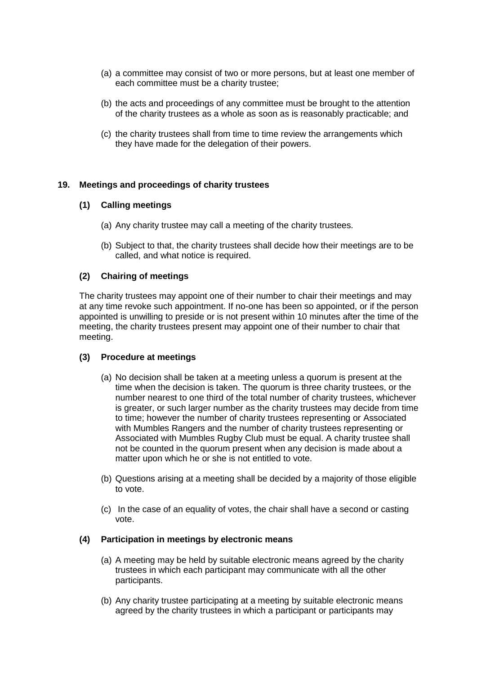- (a) a committee may consist of two or more persons, but at least one member of each committee must be a charity trustee;
- (b) the acts and proceedings of any committee must be brought to the attention of the charity trustees as a whole as soon as is reasonably practicable; and
- (c) the charity trustees shall from time to time review the arrangements which they have made for the delegation of their powers.

### **19. Meetings and proceedings of charity trustees**

### **(1) Calling meetings**

- (a) Any charity trustee may call a meeting of the charity trustees.
- (b) Subject to that, the charity trustees shall decide how their meetings are to be called, and what notice is required.

### **(2) Chairing of meetings**

The charity trustees may appoint one of their number to chair their meetings and may at any time revoke such appointment. If no-one has been so appointed, or if the person appointed is unwilling to preside or is not present within 10 minutes after the time of the meeting, the charity trustees present may appoint one of their number to chair that meeting.

#### **(3) Procedure at meetings**

- (a) No decision shall be taken at a meeting unless a quorum is present at the time when the decision is taken. The quorum is three charity trustees, or the number nearest to one third of the total number of charity trustees, whichever is greater, or such larger number as the charity trustees may decide from time to time; however the number of charity trustees representing or Associated with Mumbles Rangers and the number of charity trustees representing or Associated with Mumbles Rugby Club must be equal. A charity trustee shall not be counted in the quorum present when any decision is made about a matter upon which he or she is not entitled to vote.
- (b) Questions arising at a meeting shall be decided by a majority of those eligible to vote.
- (c) In the case of an equality of votes, the chair shall have a second or casting vote.

### **(4) Participation in meetings by electronic means**

- (a) A meeting may be held by suitable electronic means agreed by the charity trustees in which each participant may communicate with all the other participants.
- (b) Any charity trustee participating at a meeting by suitable electronic means agreed by the charity trustees in which a participant or participants may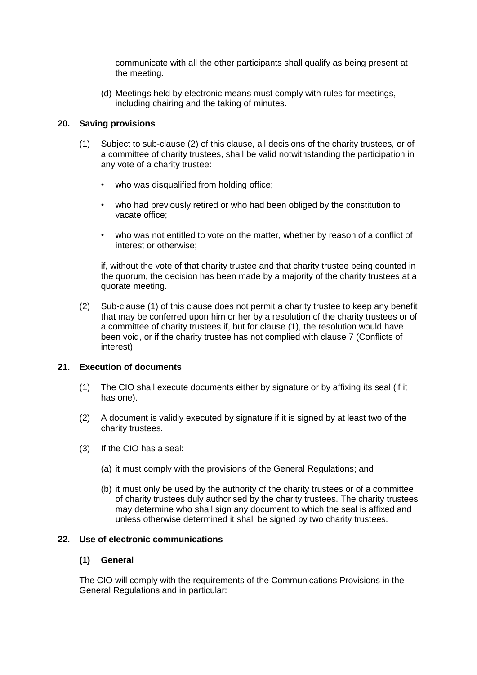communicate with all the other participants shall qualify as being present at the meeting.

(d) Meetings held by electronic means must comply with rules for meetings, including chairing and the taking of minutes.

#### **20. Saving provisions**

- (1) Subject to sub-clause (2) of this clause, all decisions of the charity trustees, or of a committee of charity trustees, shall be valid notwithstanding the participation in any vote of a charity trustee:
	- who was disqualified from holding office;
	- who had previously retired or who had been obliged by the constitution to vacate office;
	- who was not entitled to vote on the matter, whether by reason of a conflict of interest or otherwise;

if, without the vote of that charity trustee and that charity trustee being counted in the quorum, the decision has been made by a majority of the charity trustees at a quorate meeting.

(2) Sub-clause (1) of this clause does not permit a charity trustee to keep any benefit that may be conferred upon him or her by a resolution of the charity trustees or of a committee of charity trustees if, but for clause (1), the resolution would have been void, or if the charity trustee has not complied with clause 7 (Conflicts of interest).

#### **21. Execution of documents**

- (1) The CIO shall execute documents either by signature or by affixing its seal (if it has one).
- (2) A document is validly executed by signature if it is signed by at least two of the charity trustees.
- (3) If the CIO has a seal:
	- (a) it must comply with the provisions of the General Regulations; and
	- (b) it must only be used by the authority of the charity trustees or of a committee of charity trustees duly authorised by the charity trustees. The charity trustees may determine who shall sign any document to which the seal is affixed and unless otherwise determined it shall be signed by two charity trustees.

### **22. Use of electronic communications**

#### **(1) General**

The CIO will comply with the requirements of the Communications Provisions in the General Regulations and in particular: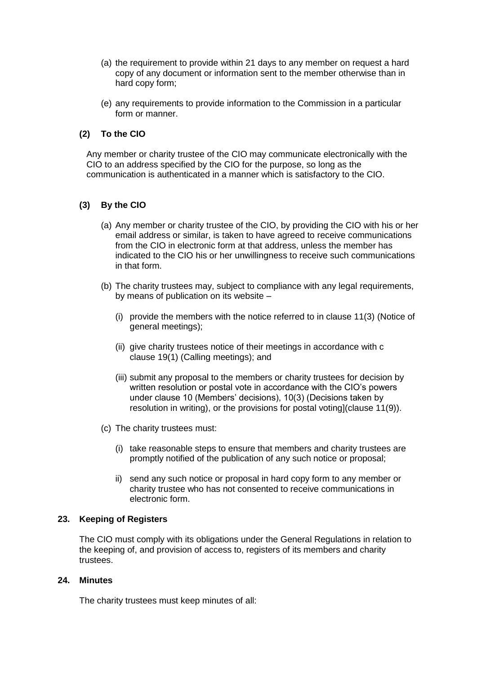- (a) the requirement to provide within 21 days to any member on request a hard copy of any document or information sent to the member otherwise than in hard copy form;
- (e) any requirements to provide information to the Commission in a particular form or manner.

### **(2) To the CIO**

Any member or charity trustee of the CIO may communicate electronically with the CIO to an address specified by the CIO for the purpose, so long as the communication is authenticated in a manner which is satisfactory to the CIO.

### **(3) By the CIO**

- (a) Any member or charity trustee of the CIO, by providing the CIO with his or her email address or similar, is taken to have agreed to receive communications from the CIO in electronic form at that address, unless the member has indicated to the CIO his or her unwillingness to receive such communications in that form.
- (b) The charity trustees may, subject to compliance with any legal requirements, by means of publication on its website –
	- (i) provide the members with the notice referred to in clause 11(3) (Notice of general meetings);
	- (ii) give charity trustees notice of their meetings in accordance with c clause 19(1) (Calling meetings); and
	- (iii) submit any proposal to the members or charity trustees for decision by written resolution or postal vote in accordance with the CIO's powers under clause 10 (Members' decisions), 10(3) (Decisions taken by resolution in writing), or the provisions for postal voting](clause 11(9)).
- (c) The charity trustees must:
	- (i) take reasonable steps to ensure that members and charity trustees are promptly notified of the publication of any such notice or proposal;
	- ii) send any such notice or proposal in hard copy form to any member or charity trustee who has not consented to receive communications in electronic form.

#### **23. Keeping of Registers**

The CIO must comply with its obligations under the General Regulations in relation to the keeping of, and provision of access to, registers of its members and charity trustees.

# **24. Minutes**

The charity trustees must keep minutes of all: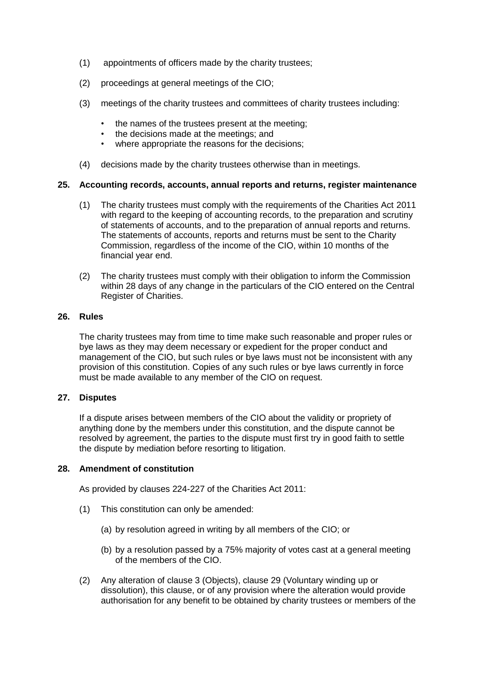- (1) appointments of officers made by the charity trustees;
- (2) proceedings at general meetings of the CIO;
- (3) meetings of the charity trustees and committees of charity trustees including:
	- the names of the trustees present at the meeting;
	- the decisions made at the meetings; and
	- where appropriate the reasons for the decisions;
- (4) decisions made by the charity trustees otherwise than in meetings.

### **25. Accounting records, accounts, annual reports and returns, register maintenance**

- (1) The charity trustees must comply with the requirements of the Charities Act 2011 with regard to the keeping of accounting records, to the preparation and scrutiny of statements of accounts, and to the preparation of annual reports and returns. The statements of accounts, reports and returns must be sent to the Charity Commission, regardless of the income of the CIO, within 10 months of the financial year end.
- (2) The charity trustees must comply with their obligation to inform the Commission within 28 days of any change in the particulars of the CIO entered on the Central Register of Charities.

### **26. Rules**

The charity trustees may from time to time make such reasonable and proper rules or bye laws as they may deem necessary or expedient for the proper conduct and management of the CIO, but such rules or bye laws must not be inconsistent with any provision of this constitution. Copies of any such rules or bye laws currently in force must be made available to any member of the CIO on request.

### **27. Disputes**

If a dispute arises between members of the CIO about the validity or propriety of anything done by the members under this constitution, and the dispute cannot be resolved by agreement, the parties to the dispute must first try in good faith to settle the dispute by mediation before resorting to litigation.

### **28. Amendment of constitution**

As provided by clauses 224-227 of the Charities Act 2011:

- (1) This constitution can only be amended:
	- (a) by resolution agreed in writing by all members of the CIO; or
	- (b) by a resolution passed by a 75% majority of votes cast at a general meeting of the members of the CIO.
- (2) Any alteration of clause 3 (Objects), clause 29 (Voluntary winding up or dissolution), this clause, or of any provision where the alteration would provide authorisation for any benefit to be obtained by charity trustees or members of the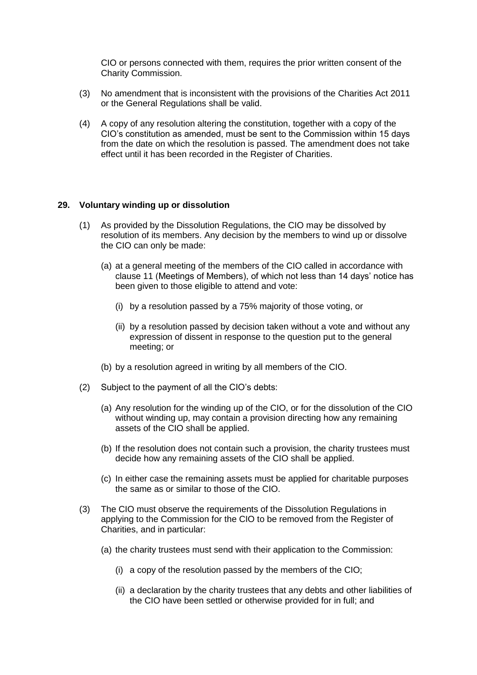CIO or persons connected with them, requires the prior written consent of the Charity Commission.

- (3) No amendment that is inconsistent with the provisions of the Charities Act 2011 or the General Regulations shall be valid.
- (4) A copy of any resolution altering the constitution, together with a copy of the CIO's constitution as amended, must be sent to the Commission within 15 days from the date on which the resolution is passed. The amendment does not take effect until it has been recorded in the Register of Charities.

#### **29. Voluntary winding up or dissolution**

- (1) As provided by the Dissolution Regulations, the CIO may be dissolved by resolution of its members. Any decision by the members to wind up or dissolve the CIO can only be made:
	- (a) at a general meeting of the members of the CIO called in accordance with clause 11 (Meetings of Members), of which not less than 14 days' notice has been given to those eligible to attend and vote:
		- (i) by a resolution passed by a 75% majority of those voting, or
		- (ii) by a resolution passed by decision taken without a vote and without any expression of dissent in response to the question put to the general meeting; or
	- (b) by a resolution agreed in writing by all members of the CIO.
- (2) Subject to the payment of all the CIO's debts:
	- (a) Any resolution for the winding up of the CIO, or for the dissolution of the CIO without winding up, may contain a provision directing how any remaining assets of the CIO shall be applied.
	- (b) If the resolution does not contain such a provision, the charity trustees must decide how any remaining assets of the CIO shall be applied.
	- (c) In either case the remaining assets must be applied for charitable purposes the same as or similar to those of the CIO.
- (3) The CIO must observe the requirements of the Dissolution Regulations in applying to the Commission for the CIO to be removed from the Register of Charities, and in particular:
	- (a) the charity trustees must send with their application to the Commission:
		- (i) a copy of the resolution passed by the members of the CIO;
		- (ii) a declaration by the charity trustees that any debts and other liabilities of the CIO have been settled or otherwise provided for in full; and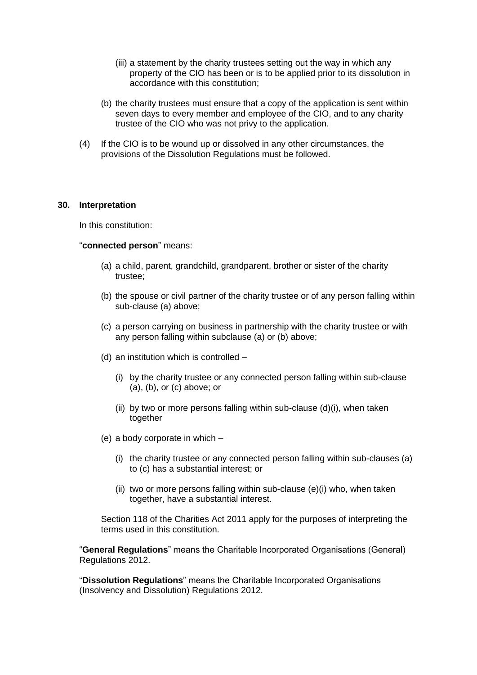- (iii) a statement by the charity trustees setting out the way in which any property of the CIO has been or is to be applied prior to its dissolution in accordance with this constitution;
- (b) the charity trustees must ensure that a copy of the application is sent within seven days to every member and employee of the CIO, and to any charity trustee of the CIO who was not privy to the application.
- (4) If the CIO is to be wound up or dissolved in any other circumstances, the provisions of the Dissolution Regulations must be followed.

### **30. Interpretation**

In this constitution:

#### "**connected person**" means:

- (a) a child, parent, grandchild, grandparent, brother or sister of the charity trustee;
- (b) the spouse or civil partner of the charity trustee or of any person falling within sub-clause (a) above;
- (c) a person carrying on business in partnership with the charity trustee or with any person falling within subclause (a) or (b) above;
- (d) an institution which is controlled
	- (i) by the charity trustee or any connected person falling within sub-clause (a), (b), or (c) above; or
	- (ii) by two or more persons falling within sub-clause (d)(i), when taken together
- (e) a body corporate in which
	- (i) the charity trustee or any connected person falling within sub-clauses (a) to (c) has a substantial interest; or
	- (ii) two or more persons falling within sub-clause (e)(i) who, when taken together, have a substantial interest.

Section 118 of the Charities Act 2011 apply for the purposes of interpreting the terms used in this constitution.

"**General Regulations**" means the Charitable Incorporated Organisations (General) Regulations 2012.

"**Dissolution Regulations**" means the Charitable Incorporated Organisations (Insolvency and Dissolution) Regulations 2012.